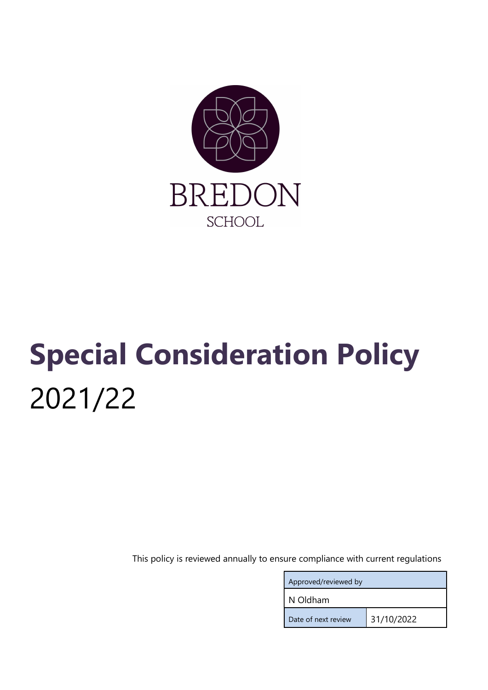

# Special Consideration Policy 2021/22

This policy is reviewed annually to ensure compliance with current regulations

| Approved/reviewed by |            |
|----------------------|------------|
| N Oldham             |            |
| Date of next review  | 31/10/2022 |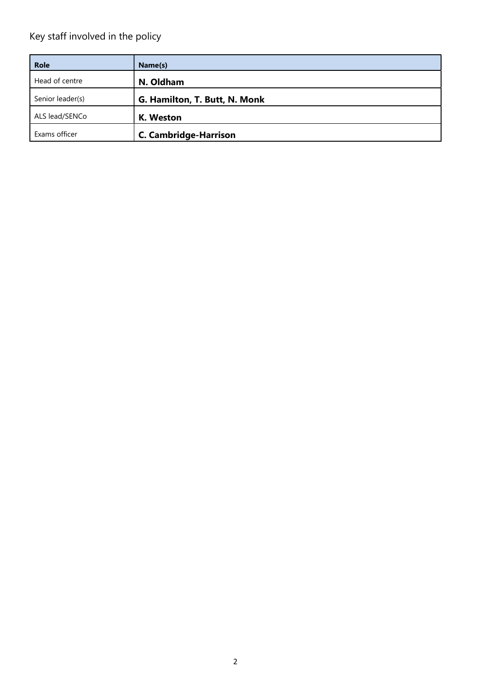# Key staff involved in the policy

| <b>Role</b>      | Name(s)                       |
|------------------|-------------------------------|
| Head of centre   | N. Oldham                     |
| Senior leader(s) | G. Hamilton, T. Butt, N. Monk |
| ALS lead/SENCo   | K. Weston                     |
| Exams officer    | <b>C. Cambridge-Harrison</b>  |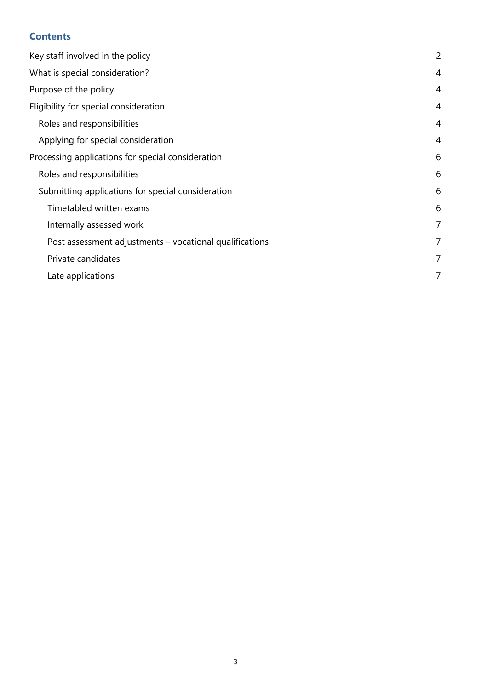# **Contents**

| Key staff involved in the policy                        | $\overline{c}$ |
|---------------------------------------------------------|----------------|
| What is special consideration?                          | $\overline{4}$ |
| Purpose of the policy                                   | 4              |
| Eligibility for special consideration                   | 4              |
| Roles and responsibilities                              | $\overline{4}$ |
| Applying for special consideration                      | $\overline{4}$ |
| Processing applications for special consideration       | 6              |
| Roles and responsibilities                              | 6              |
| Submitting applications for special consideration       | 6              |
| Timetabled written exams                                | 6              |
| Internally assessed work                                | 7              |
| Post assessment adjustments – vocational qualifications | 7              |
| Private candidates                                      | 7              |
| Late applications                                       | 7              |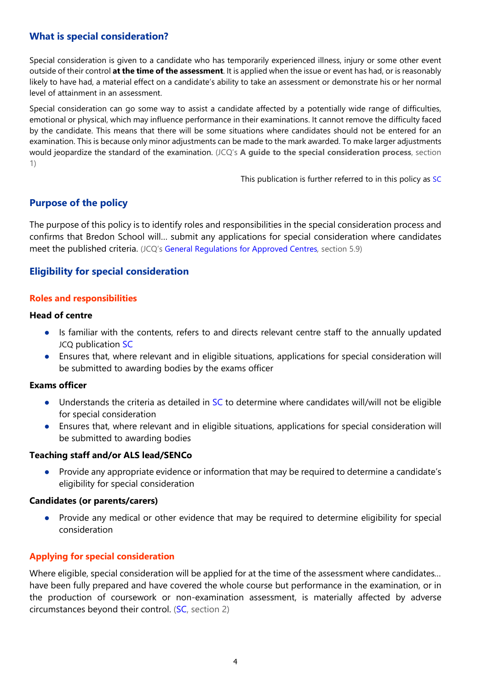# What is special consideration?

Special consideration is given to a candidate who has temporarily experienced illness, injury or some other event outside of their control at the time of the assessment. It is applied when the issue or event has had, or is reasonably likely to have had, a material effect on a candidate's ability to take an assessment or demonstrate his or her normal level of attainment in an assessment.

Special consideration can go some way to assist a candidate affected by a potentially wide range of difficulties, emotional or physical, which may influence performance in their examinations. It cannot remove the difficulty faced by the candidate. This means that there will be some situations where candidates should not be entered for an examination. This is because only minor adjustments can be made to the mark awarded. To make larger adjustments would jeopardize the standard of the examination. (JCQ's A guide to the special consideration process, section 1)

This publication is further referred to in this policy as SC

# Purpose of the policy

The purpose of this policy is to identify roles and responsibilities in the special consideration process and confirms that Bredon School will… submit any applications for special consideration where candidates meet the published criteria. (JCQ's General Regulations for Approved Centres, section 5.9)

# Eligibility for special consideration

## Roles and responsibilities

## Head of centre

- Is familiar with the contents, refers to and directs relevant centre staff to the annually updated JCQ publication SC
- Ensures that, where relevant and in eligible situations, applications for special consideration will be submitted to awarding bodies by the exams officer

#### Exams officer

- Understands the criteria as detailed in SC to determine where candidates will/will not be eligible for special consideration
- Ensures that, where relevant and in eligible situations, applications for special consideration will be submitted to awarding bodies

# Teaching staff and/or ALS lead/SENCo

Provide any appropriate evidence or information that may be required to determine a candidate's eligibility for special consideration

## Candidates (or parents/carers)

● Provide any medical or other evidence that may be required to determine eligibility for special consideration

# Applying for special consideration

Where eligible, special consideration will be applied for at the time of the assessment where candidates... have been fully prepared and have covered the whole course but performance in the examination, or in the production of coursework or non-examination assessment, is materially affected by adverse circumstances beyond their control. (SC, section 2)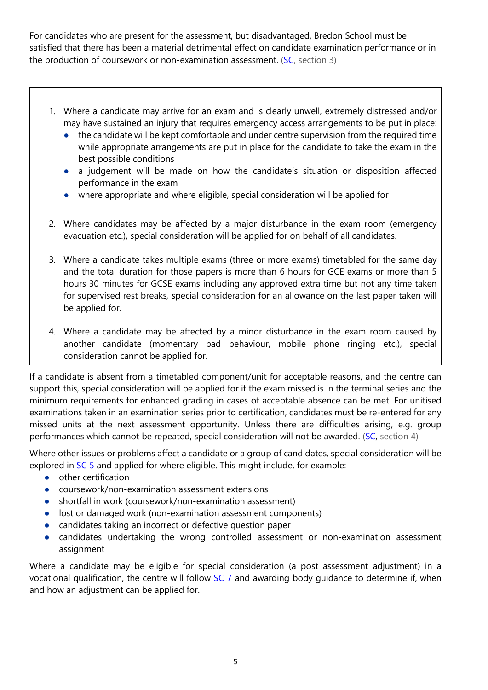For candidates who are present for the assessment, but disadvantaged, Bredon School must be satisfied that there has been a material detrimental effect on candidate examination performance or in the production of coursework or non-examination assessment. (SC, section 3)

- 1. Where a candidate may arrive for an exam and is clearly unwell, extremely distressed and/or may have sustained an injury that requires emergency access arrangements to be put in place:
	- the candidate will be kept comfortable and under centre supervision from the required time while appropriate arrangements are put in place for the candidate to take the exam in the best possible conditions
	- a judgement will be made on how the candidate's situation or disposition affected performance in the exam
	- where appropriate and where eligible, special consideration will be applied for
- 2. Where candidates may be affected by a major disturbance in the exam room (emergency evacuation etc.), special consideration will be applied for on behalf of all candidates.
- 3. Where a candidate takes multiple exams (three or more exams) timetabled for the same day and the total duration for those papers is more than 6 hours for GCE exams or more than 5 hours 30 minutes for GCSE exams including any approved extra time but not any time taken for supervised rest breaks, special consideration for an allowance on the last paper taken will be applied for.
- 4. Where a candidate may be affected by a minor disturbance in the exam room caused by another candidate (momentary bad behaviour, mobile phone ringing etc.), special consideration cannot be applied for.

If a candidate is absent from a timetabled component/unit for acceptable reasons, and the centre can support this, special consideration will be applied for if the exam missed is in the terminal series and the minimum requirements for enhanced grading in cases of acceptable absence can be met. For unitised examinations taken in an examination series prior to certification, candidates must be re-entered for any missed units at the next assessment opportunity. Unless there are difficulties arising, e.g. group performances which cannot be repeated, special consideration will not be awarded. (SC, section 4)

Where other issues or problems affect a candidate or a group of candidates, special consideration will be explored in SC 5 and applied for where eligible. This might include, for example:

- other certification
- coursework/non-examination assessment extensions
- shortfall in work (coursework/non-examination assessment)
- lost or damaged work (non-examination assessment components)
- candidates taking an incorrect or defective question paper
- candidates undertaking the wrong controlled assessment or non-examination assessment assignment

Where a candidate may be eligible for special consideration (a post assessment adjustment) in a vocational qualification, the centre will follow SC 7 and awarding body guidance to determine if, when and how an adjustment can be applied for.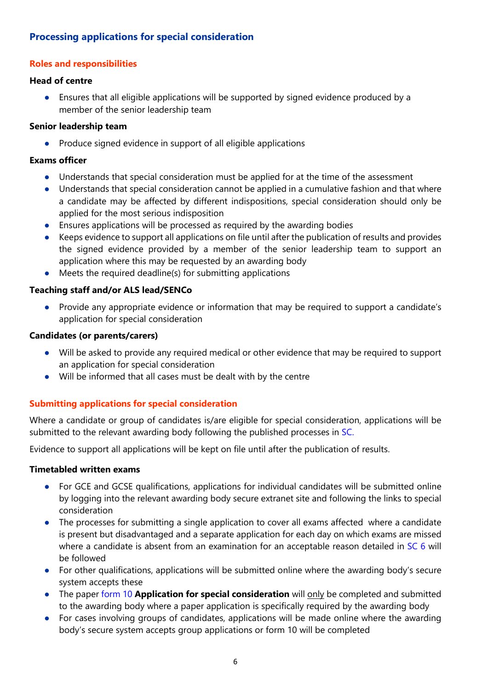# Processing applications for special consideration

# Roles and responsibilities

### Head of centre

● Ensures that all eligible applications will be supported by signed evidence produced by a member of the senior leadership team

# Senior leadership team

● Produce signed evidence in support of all eligible applications

## Exams officer

- Understands that special consideration must be applied for at the time of the assessment
- Understands that special consideration cannot be applied in a cumulative fashion and that where a candidate may be affected by different indispositions, special consideration should only be applied for the most serious indisposition
- Ensures applications will be processed as required by the awarding bodies
- Keeps evidence to support all applications on file until after the publication of results and provides the signed evidence provided by a member of the senior leadership team to support an application where this may be requested by an awarding body
- Meets the required deadline(s) for submitting applications

# Teaching staff and/or ALS lead/SENCo

● Provide any appropriate evidence or information that may be required to support a candidate's application for special consideration

# Candidates (or parents/carers)

- Will be asked to provide any required medical or other evidence that may be required to support an application for special consideration
- Will be informed that all cases must be dealt with by the centre

# Submitting applications for special consideration

Where a candidate or group of candidates is/are eligible for special consideration, applications will be submitted to the relevant awarding body following the published processes in SC.

Evidence to support all applications will be kept on file until after the publication of results.

#### Timetabled written exams

- For GCE and GCSE qualifications, applications for individual candidates will be submitted online by logging into the relevant awarding body secure extranet site and following the links to special consideration
- The processes for submitting a single application to cover all exams affected where a candidate is present but disadvantaged and a separate application for each day on which exams are missed where a candidate is absent from an examination for an acceptable reason detailed in SC 6 will be followed
- For other qualifications, applications will be submitted online where the awarding body's secure system accepts these
- The paper form 10 Application for special consideration will only be completed and submitted to the awarding body where a paper application is specifically required by the awarding body
- For cases involving groups of candidates, applications will be made online where the awarding body's secure system accepts group applications or form 10 will be completed